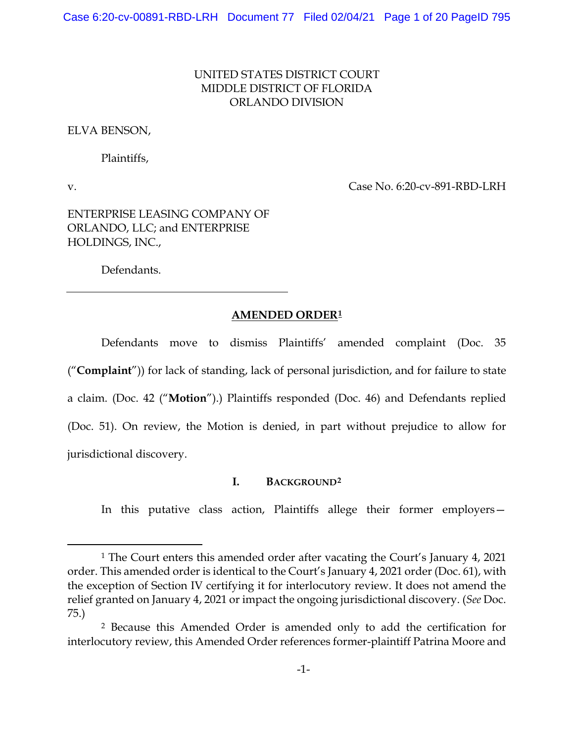# UNITED STATES DISTRICT COURT MIDDLE DISTRICT OF FLORIDA ORLANDO DIVISION

ELVA BENSON,

Plaintiffs,

v. Case No. 6:20-cv-891-RBD-LRH

ENTERPRISE LEASING COMPANY OF ORLANDO, LLC; and ENTERPRISE HOLDINGS, INC.,

Defendants.

#### **AMENDED ORDER1**

Defendants move to dismiss Plaintiffs' amended complaint (Doc. 35 ("**Complaint**")) for lack of standing, lack of personal jurisdiction, and for failure to state a claim. (Doc. 42 ("**Motion**").) Plaintiffs responded (Doc. 46) and Defendants replied (Doc. 51). On review, the Motion is denied, in part without prejudice to allow for jurisdictional discovery.

## **I. BACKGROUND2**

In this putative class action, Plaintiffs allege their former employers—

<sup>1</sup> The Court enters this amended order after vacating the Court's January 4, 2021 order. This amended order is identical to the Court's January 4, 2021 order (Doc. 61), with the exception of Section IV certifying it for interlocutory review. It does not amend the relief granted on January 4, 2021 or impact the ongoing jurisdictional discovery. (*See* Doc. 75.)

<sup>2</sup> Because this Amended Order is amended only to add the certification for interlocutory review, this Amended Order references former-plaintiff Patrina Moore and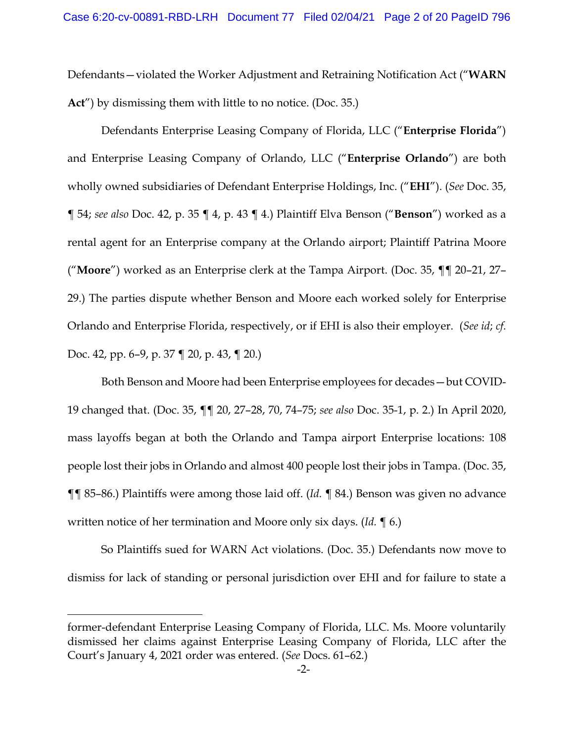Defendants—violated the Worker Adjustment and Retraining Notification Act ("**WARN Act**") by dismissing them with little to no notice. (Doc. 35.)

Defendants Enterprise Leasing Company of Florida, LLC ("**Enterprise Florida**") and Enterprise Leasing Company of Orlando, LLC ("**Enterprise Orlando**") are both wholly owned subsidiaries of Defendant Enterprise Holdings, Inc. ("**EHI**"). (*See* Doc. 35, ¶ 54; *see also* Doc. 42, p. 35 ¶ 4, p. 43 ¶ 4.) Plaintiff Elva Benson ("**Benson**") worked as a rental agent for an Enterprise company at the Orlando airport; Plaintiff Patrina Moore ("**Moore**") worked as an Enterprise clerk at the Tampa Airport. (Doc. 35, ¶¶ 20–21, 27– 29.) The parties dispute whether Benson and Moore each worked solely for Enterprise Orlando and Enterprise Florida, respectively, or if EHI is also their employer. (*See id*; *cf.*  Doc. 42, pp. 6–9, p. 37 ¶ 20, p. 43, ¶ 20.)

Both Benson and Moore had been Enterprise employees for decades—but COVID-19 changed that. (Doc. 35, ¶¶ 20, 27–28, 70, 74–75; *see also* Doc. 35-1, p. 2.) In April 2020, mass layoffs began at both the Orlando and Tampa airport Enterprise locations: 108 people lost their jobs in Orlando and almost 400 people lost their jobs in Tampa. (Doc. 35, ¶¶ 85–86.) Plaintiffs were among those laid off. (*Id.* ¶ 84.) Benson was given no advance written notice of her termination and Moore only six days. (*Id.* ¶ 6.)

So Plaintiffs sued for WARN Act violations. (Doc. 35.) Defendants now move to dismiss for lack of standing or personal jurisdiction over EHI and for failure to state a

former-defendant Enterprise Leasing Company of Florida, LLC. Ms. Moore voluntarily dismissed her claims against Enterprise Leasing Company of Florida, LLC after the Court's January 4, 2021 order was entered. (*See* Docs. 61–62.)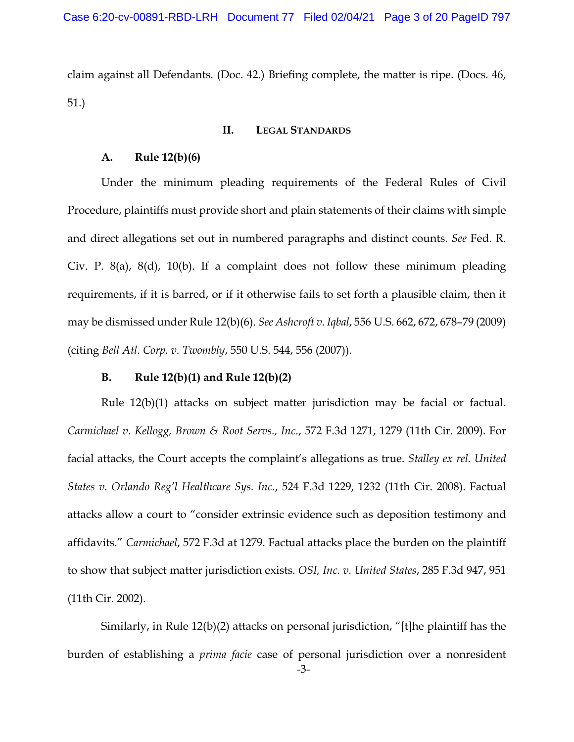claim against all Defendants. (Doc. 42.) Briefing complete, the matter is ripe. (Docs. 46, 51.)

# **II. LEGAL STANDARDS**

#### **A. Rule 12(b)(6)**

Under the minimum pleading requirements of the Federal Rules of Civil Procedure, plaintiffs must provide short and plain statements of their claims with simple and direct allegations set out in numbered paragraphs and distinct counts. *See* Fed. R. Civ. P. 8(a), 8(d), 10(b). If a complaint does not follow these minimum pleading requirements, if it is barred, or if it otherwise fails to set forth a plausible claim, then it may be dismissed under Rule 12(b)(6). *See Ashcroft v. Iqbal*, 556 U.S. 662, 672, 678–79 (2009) (citing *Bell Atl. Corp. v. Twombly*, 550 U.S. 544, 556 (2007)).

#### **B. Rule 12(b)(1) and Rule 12(b)(2)**

Rule 12(b)(1) attacks on subject matter jurisdiction may be facial or factual. *Carmichael v. Kellogg, Brown & Root Servs., Inc.*, 572 F.3d 1271, 1279 (11th Cir. 2009). For facial attacks, the Court accepts the complaint's allegations as true. *Stalley ex rel. United States v. Orlando Reg'l Healthcare Sys. Inc.*, 524 F.3d 1229, 1232 (11th Cir. 2008). Factual attacks allow a court to "consider extrinsic evidence such as deposition testimony and affidavits." *Carmichael*, 572 F.3d at 1279. Factual attacks place the burden on the plaintiff to show that subject matter jurisdiction exists. *OSI, Inc. v. United States*, 285 F.3d 947, 951 (11th Cir. 2002).

-3- Similarly, in Rule 12(b)(2) attacks on personal jurisdiction, "[t]he plaintiff has the burden of establishing a *prima facie* case of personal jurisdiction over a nonresident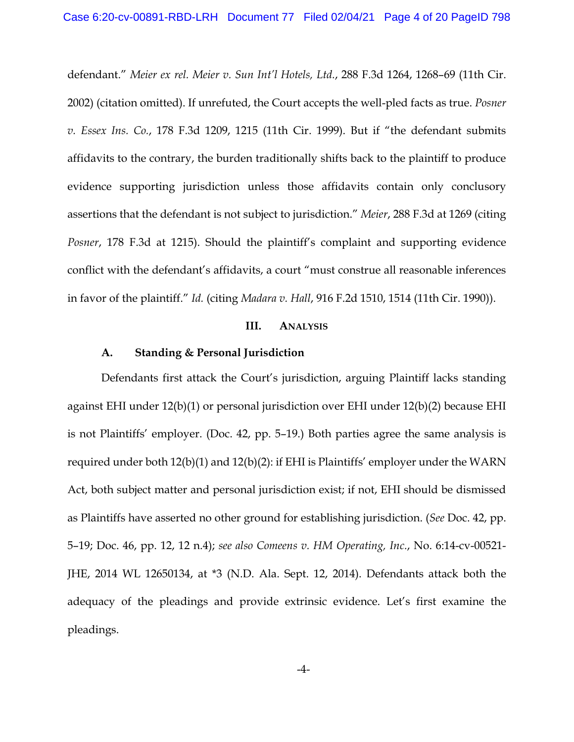defendant." *Meier ex rel. Meier v. Sun Int'l Hotels, Ltd.*, 288 F.3d 1264, 1268–69 (11th Cir. 2002) (citation omitted). If unrefuted, the Court accepts the well-pled facts as true. *Posner v. Essex Ins. Co.*, 178 F.3d 1209, 1215 (11th Cir. 1999). But if "the defendant submits affidavits to the contrary, the burden traditionally shifts back to the plaintiff to produce evidence supporting jurisdiction unless those affidavits contain only conclusory assertions that the defendant is not subject to jurisdiction." *Meier*, 288 F.3d at 1269 (citing *Posner*, 178 F.3d at 1215). Should the plaintiff's complaint and supporting evidence conflict with the defendant's affidavits, a court "must construe all reasonable inferences in favor of the plaintiff." *Id.* (citing *Madara v. Hall*, 916 F.2d 1510, 1514 (11th Cir. 1990)).

### **III. ANALYSIS**

### **A. Standing & Personal Jurisdiction**

Defendants first attack the Court's jurisdiction, arguing Plaintiff lacks standing against EHI under 12(b)(1) or personal jurisdiction over EHI under 12(b)(2) because EHI is not Plaintiffs' employer. (Doc. 42, pp. 5–19.) Both parties agree the same analysis is required under both 12(b)(1) and 12(b)(2): if EHI is Plaintiffs' employer under the WARN Act, both subject matter and personal jurisdiction exist; if not, EHI should be dismissed as Plaintiffs have asserted no other ground for establishing jurisdiction. (*See* Doc. 42, pp. 5–19; Doc. 46, pp. 12, 12 n.4); *see also Comeens v. HM Operating, Inc.*, No. 6:14-cv-00521- JHE, 2014 WL 12650134, at \*3 (N.D. Ala. Sept. 12, 2014). Defendants attack both the adequacy of the pleadings and provide extrinsic evidence. Let's first examine the pleadings.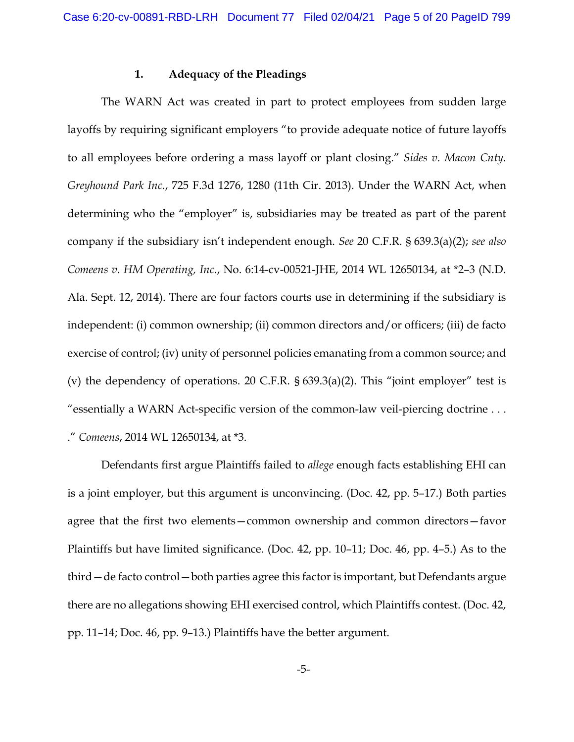### **1. Adequacy of the Pleadings**

The WARN Act was created in part to protect employees from sudden large layoffs by requiring significant employers "to provide adequate notice of future layoffs to all employees before ordering a mass layoff or plant closing." *Sides v. Macon Cnty. Greyhound Park Inc.*, 725 F.3d 1276, 1280 (11th Cir. 2013). Under the WARN Act, when determining who the "employer" is, subsidiaries may be treated as part of the parent company if the subsidiary isn't independent enough. *See* 20 C.F.R. § 639.3(a)(2); *see also Comeens v. HM Operating, Inc.*, No. 6:14-cv-00521-JHE, 2014 WL 12650134, at \*2–3 (N.D. Ala. Sept. 12, 2014). There are four factors courts use in determining if the subsidiary is independent: (i) common ownership; (ii) common directors and/or officers; (iii) de facto exercise of control; (iv) unity of personnel policies emanating from a common source; and (v) the dependency of operations. 20 C.F.R. § 639.3(a)(2). This "joint employer" test is "essentially a WARN Act-specific version of the common-law veil-piercing doctrine . . . ." *Comeens*, 2014 WL 12650134, at \*3.

Defendants first argue Plaintiffs failed to *allege* enough facts establishing EHI can is a joint employer, but this argument is unconvincing. (Doc. 42, pp. 5–17.) Both parties agree that the first two elements—common ownership and common directors—favor Plaintiffs but have limited significance. (Doc. 42, pp. 10–11; Doc. 46, pp. 4–5.) As to the third—de facto control—both parties agree this factor is important, but Defendants argue there are no allegations showing EHI exercised control, which Plaintiffs contest. (Doc. 42, pp. 11–14; Doc. 46, pp. 9–13.) Plaintiffs have the better argument.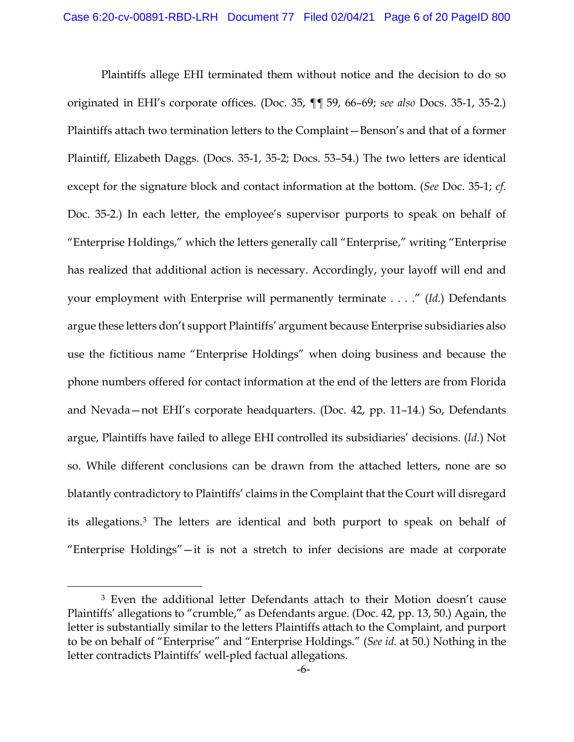Plaintiffs allege EHI terminated them without notice and the decision to do so originated in EHI's corporate offices. (Doc. 35, ¶¶ 59, 66–69; *see also* Docs. 35-1, 35-2.) Plaintiffs attach two termination letters to the Complaint—Benson's and that of a former Plaintiff, Elizabeth Daggs. (Docs. 35-1, 35-2; Docs. 53–54.) The two letters are identical except for the signature block and contact information at the bottom. (*See* Doc. 35-1; *cf.*  Doc. 35-2.) In each letter, the employee's supervisor purports to speak on behalf of "Enterprise Holdings," which the letters generally call "Enterprise," writing "Enterprise has realized that additional action is necessary. Accordingly, your layoff will end and your employment with Enterprise will permanently terminate . . . ." (*Id.*) Defendants argue these letters don't support Plaintiffs' argument because Enterprise subsidiaries also use the fictitious name "Enterprise Holdings" when doing business and because the phone numbers offered for contact information at the end of the letters are from Florida and Nevada—not EHI's corporate headquarters. (Doc. 42, pp. 11–14.) So, Defendants argue, Plaintiffs have failed to allege EHI controlled its subsidiaries' decisions. (*Id.*) Not so. While different conclusions can be drawn from the attached letters, none are so blatantly contradictory to Plaintiffs' claims in the Complaint that the Court will disregard its allegations.3 The letters are identical and both purport to speak on behalf of "Enterprise Holdings"—it is not a stretch to infer decisions are made at corporate

<sup>3</sup> Even the additional letter Defendants attach to their Motion doesn't cause Plaintiffs' allegations to "crumble," as Defendants argue. (Doc. 42, pp. 13, 50.) Again, the letter is substantially similar to the letters Plaintiffs attach to the Complaint, and purport to be on behalf of "Enterprise" and "Enterprise Holdings." (*See id.* at 50.) Nothing in the letter contradicts Plaintiffs' well-pled factual allegations.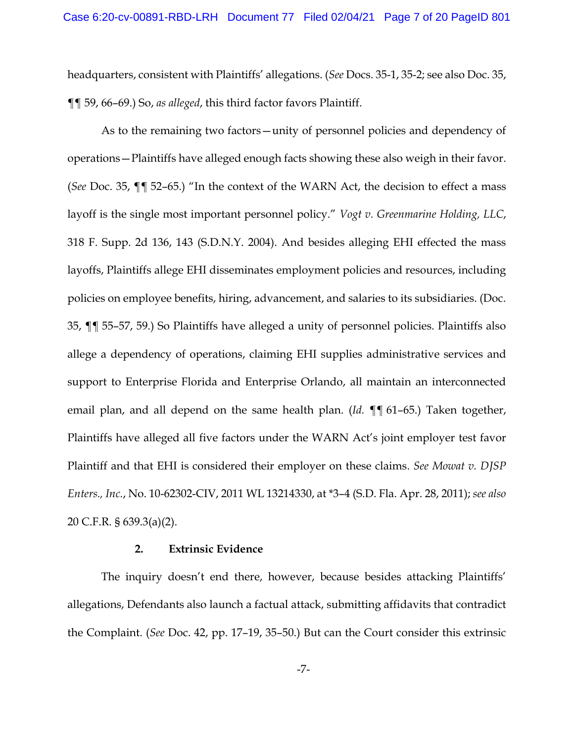headquarters, consistent with Plaintiffs' allegations. (*See* Docs. 35-1, 35-2; see also Doc. 35, ¶¶ 59, 66–69.) So, *as alleged*, this third factor favors Plaintiff.

As to the remaining two factors—unity of personnel policies and dependency of operations—Plaintiffs have alleged enough facts showing these also weigh in their favor. (*See* Doc. 35, ¶¶ 52–65.) "In the context of the WARN Act, the decision to effect a mass layoff is the single most important personnel policy." *Vogt v. Greenmarine Holding, LLC*, 318 F. Supp. 2d 136, 143 (S.D.N.Y. 2004). And besides alleging EHI effected the mass layoffs, Plaintiffs allege EHI disseminates employment policies and resources, including policies on employee benefits, hiring, advancement, and salaries to its subsidiaries. (Doc. 35, ¶¶ 55–57, 59.) So Plaintiffs have alleged a unity of personnel policies. Plaintiffs also allege a dependency of operations, claiming EHI supplies administrative services and support to Enterprise Florida and Enterprise Orlando, all maintain an interconnected email plan, and all depend on the same health plan. (*Id.* ¶¶ 61–65.) Taken together, Plaintiffs have alleged all five factors under the WARN Act's joint employer test favor Plaintiff and that EHI is considered their employer on these claims. *See Mowat v. DJSP Enters., Inc.*, No. 10-62302-CIV, 2011 WL 13214330, at \*3–4 (S.D. Fla. Apr. 28, 2011); *see also*  20 C.F.R. § 639.3(a)(2).

#### **2. Extrinsic Evidence**

The inquiry doesn't end there, however, because besides attacking Plaintiffs' allegations, Defendants also launch a factual attack, submitting affidavits that contradict the Complaint. (*See* Doc. 42, pp. 17–19, 35–50.) But can the Court consider this extrinsic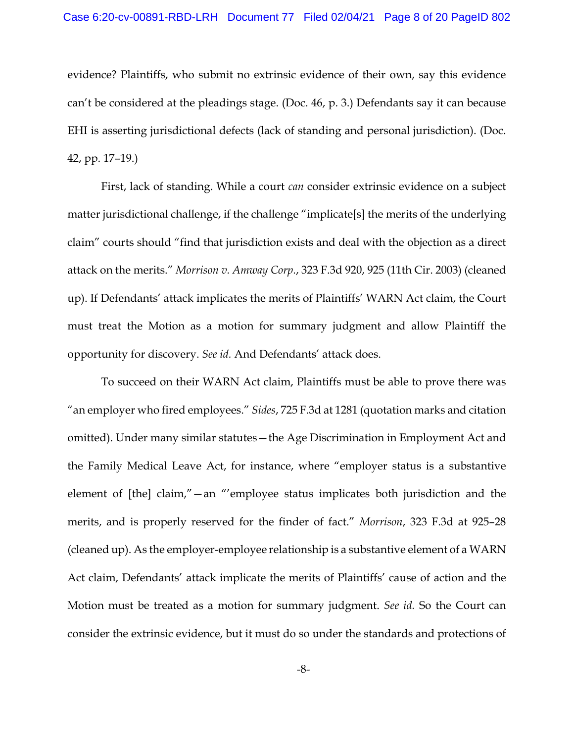evidence? Plaintiffs, who submit no extrinsic evidence of their own, say this evidence can't be considered at the pleadings stage. (Doc. 46, p. 3.) Defendants say it can because EHI is asserting jurisdictional defects (lack of standing and personal jurisdiction). (Doc. 42, pp. 17–19.)

First, lack of standing. While a court *can* consider extrinsic evidence on a subject matter jurisdictional challenge, if the challenge "implicate[s] the merits of the underlying claim" courts should "find that jurisdiction exists and deal with the objection as a direct attack on the merits." *Morrison v. Amway Corp.*, 323 F.3d 920, 925 (11th Cir. 2003) (cleaned up). If Defendants' attack implicates the merits of Plaintiffs' WARN Act claim, the Court must treat the Motion as a motion for summary judgment and allow Plaintiff the opportunity for discovery. *See id.* And Defendants' attack does.

To succeed on their WARN Act claim, Plaintiffs must be able to prove there was "an employer who fired employees." *Sides*, 725 F.3d at 1281 (quotation marks and citation omitted). Under many similar statutes—the Age Discrimination in Employment Act and the Family Medical Leave Act, for instance, where "employer status is a substantive element of [the] claim,"—an "'employee status implicates both jurisdiction and the merits, and is properly reserved for the finder of fact." *Morrison*, 323 F.3d at 925–28 (cleaned up). As the employer-employee relationship is a substantive element of a WARN Act claim, Defendants' attack implicate the merits of Plaintiffs' cause of action and the Motion must be treated as a motion for summary judgment. *See id.* So the Court can consider the extrinsic evidence, but it must do so under the standards and protections of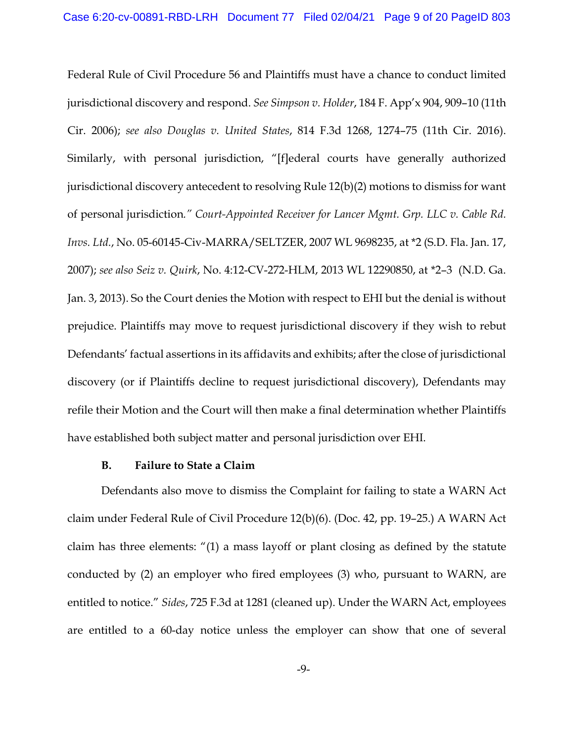Federal Rule of Civil Procedure 56 and Plaintiffs must have a chance to conduct limited jurisdictional discovery and respond. *See Simpson v. Holder*, 184 F. App'x 904, 909–10 (11th Cir. 2006); *see also Douglas v. United States*, 814 F.3d 1268, 1274–75 (11th Cir. 2016). Similarly, with personal jurisdiction, "[f]ederal courts have generally authorized jurisdictional discovery antecedent to resolving Rule 12(b)(2) motions to dismiss for want of personal jurisdiction*." Court-Appointed Receiver for Lancer Mgmt. Grp. LLC v. Cable Rd. Invs. Ltd.*, No. 05-60145-Civ-MARRA/SELTZER, 2007 WL 9698235, at \*2 (S.D. Fla. Jan. 17, 2007); *see also Seiz v. Quirk*, No. 4:12-CV-272-HLM, 2013 WL 12290850, at \*2–3 (N.D. Ga. Jan. 3, 2013). So the Court denies the Motion with respect to EHI but the denial is without prejudice. Plaintiffs may move to request jurisdictional discovery if they wish to rebut Defendants' factual assertions in its affidavits and exhibits; after the close of jurisdictional discovery (or if Plaintiffs decline to request jurisdictional discovery), Defendants may refile their Motion and the Court will then make a final determination whether Plaintiffs have established both subject matter and personal jurisdiction over EHI.

# **B. Failure to State a Claim**

Defendants also move to dismiss the Complaint for failing to state a WARN Act claim under Federal Rule of Civil Procedure 12(b)(6). (Doc. 42, pp. 19–25.) A WARN Act claim has three elements: "(1) a mass layoff or plant closing as defined by the statute conducted by (2) an employer who fired employees (3) who, pursuant to WARN, are entitled to notice." *Sides*, 725 F.3d at 1281 (cleaned up). Under the WARN Act, employees are entitled to a 60-day notice unless the employer can show that one of several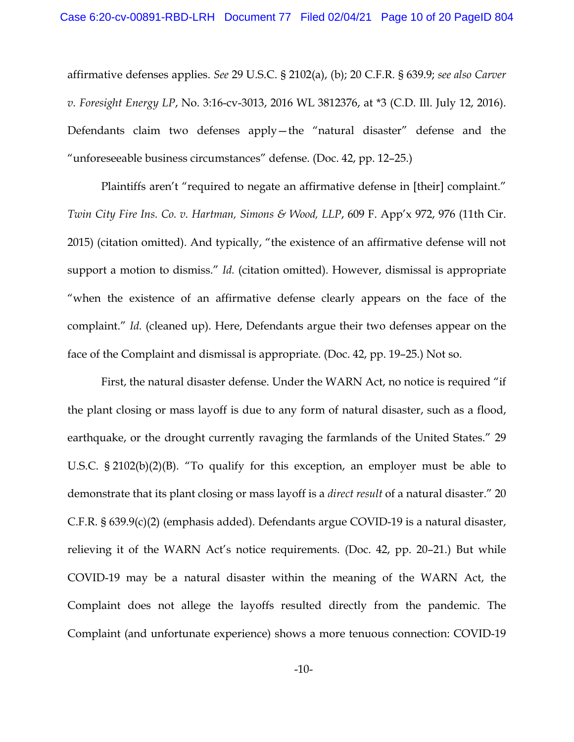affirmative defenses applies. *See* 29 U.S.C. § 2102(a), (b); 20 C.F.R. § 639.9; *see also Carver v. Foresight Energy LP*, No. 3:16-cv-3013, 2016 WL 3812376, at \*3 (C.D. Ill. July 12, 2016). Defendants claim two defenses apply—the "natural disaster" defense and the "unforeseeable business circumstances" defense. (Doc. 42, pp. 12–25.)

Plaintiffs aren't "required to negate an affirmative defense in [their] complaint." *Twin City Fire Ins. Co. v. Hartman, Simons & Wood, LLP*, 609 F. App'x 972, 976 (11th Cir. 2015) (citation omitted). And typically, "the existence of an affirmative defense will not support a motion to dismiss." *Id.* (citation omitted). However, dismissal is appropriate "when the existence of an affirmative defense clearly appears on the face of the complaint." *Id.* (cleaned up). Here, Defendants argue their two defenses appear on the face of the Complaint and dismissal is appropriate. (Doc. 42, pp. 19–25.) Not so.

First, the natural disaster defense. Under the WARN Act, no notice is required "if the plant closing or mass layoff is due to any form of natural disaster, such as a flood, earthquake, or the drought currently ravaging the farmlands of the United States." 29 U.S.C. § 2102(b)(2)(B). "To qualify for this exception, an employer must be able to demonstrate that its plant closing or mass layoff is a *direct result* of a natural disaster." 20 C.F.R. § 639.9(c)(2) (emphasis added). Defendants argue COVID-19 is a natural disaster, relieving it of the WARN Act's notice requirements. (Doc. 42, pp. 20–21.) But while COVID-19 may be a natural disaster within the meaning of the WARN Act, the Complaint does not allege the layoffs resulted directly from the pandemic. The Complaint (and unfortunate experience) shows a more tenuous connection: COVID-19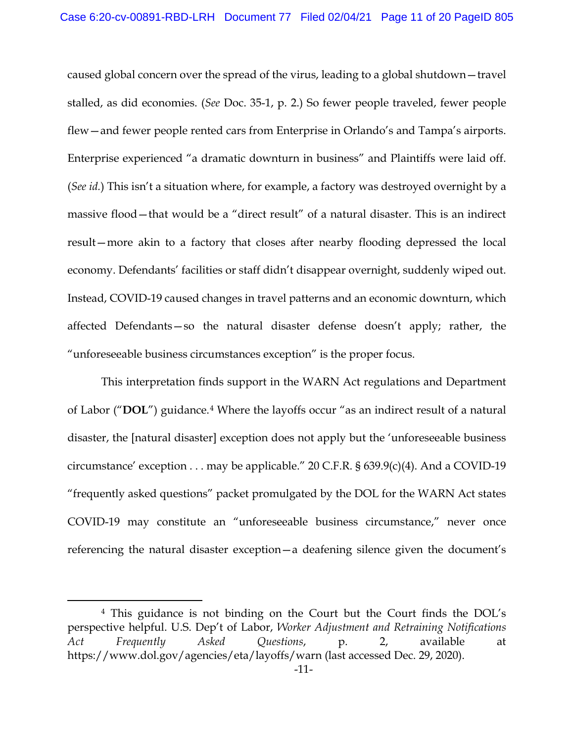caused global concern over the spread of the virus, leading to a global shutdown—travel stalled, as did economies. (*See* Doc. 35-1, p. 2.) So fewer people traveled, fewer people flew—and fewer people rented cars from Enterprise in Orlando's and Tampa's airports. Enterprise experienced "a dramatic downturn in business" and Plaintiffs were laid off. (*See id.*) This isn't a situation where, for example, a factory was destroyed overnight by a massive flood—that would be a "direct result" of a natural disaster. This is an indirect result—more akin to a factory that closes after nearby flooding depressed the local economy. Defendants' facilities or staff didn't disappear overnight, suddenly wiped out. Instead, COVID-19 caused changes in travel patterns and an economic downturn, which affected Defendants—so the natural disaster defense doesn't apply; rather, the "unforeseeable business circumstances exception" is the proper focus.

This interpretation finds support in the WARN Act regulations and Department of Labor ("**DOL**") guidance.4 Where the layoffs occur "as an indirect result of a natural disaster, the [natural disaster] exception does not apply but the 'unforeseeable business circumstance' exception  $\dots$  may be applicable." 20 C.F.R. § 639.9(c)(4). And a COVID-19 "frequently asked questions" packet promulgated by the DOL for the WARN Act states COVID-19 may constitute an "unforeseeable business circumstance," never once referencing the natural disaster exception—a deafening silence given the document's

<sup>4</sup> This guidance is not binding on the Court but the Court finds the DOL's perspective helpful. U.S. Dep't of Labor, *Worker Adjustment and Retraining Notifications Act Frequently Asked Questions*, p. 2, available at https://www.dol.gov/agencies/eta/layoffs/warn (last accessed Dec. 29, 2020).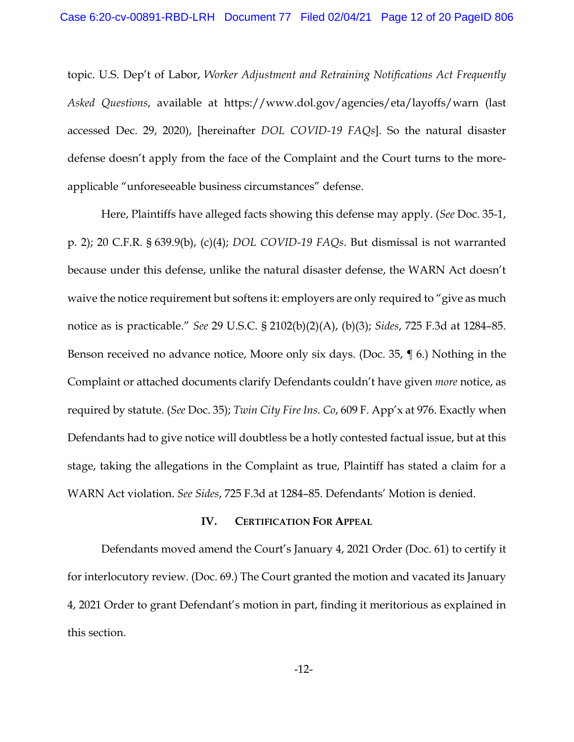topic. U.S. Dep't of Labor, *Worker Adjustment and Retraining Notifications Act Frequently Asked Questions*, available at https://www.dol.gov/agencies/eta/layoffs/warn (last accessed Dec. 29, 2020), [hereinafter *DOL COVID-19 FAQs*]. So the natural disaster defense doesn't apply from the face of the Complaint and the Court turns to the moreapplicable "unforeseeable business circumstances" defense.

Here, Plaintiffs have alleged facts showing this defense may apply. (*See* Doc. 35-1, p. 2); 20 C.F.R. § 639.9(b), (c)(4); *DOL COVID-19 FAQs*. But dismissal is not warranted because under this defense, unlike the natural disaster defense, the WARN Act doesn't waive the notice requirement but softens it: employers are only required to "give as much notice as is practicable." *See* 29 U.S.C. § 2102(b)(2)(A), (b)(3); *Sides*, 725 F.3d at 1284–85. Benson received no advance notice, Moore only six days. (Doc. 35, ¶ 6.) Nothing in the Complaint or attached documents clarify Defendants couldn't have given *more* notice, as required by statute. (*See* Doc. 35); *Twin City Fire Ins. Co*, 609 F. App'x at 976. Exactly when Defendants had to give notice will doubtless be a hotly contested factual issue, but at this stage, taking the allegations in the Complaint as true, Plaintiff has stated a claim for a WARN Act violation. *See Sides*, 725 F.3d at 1284–85. Defendants' Motion is denied.

### **IV. CERTIFICATION FOR APPEAL**

Defendants moved amend the Court's January 4, 2021 Order (Doc. 61) to certify it for interlocutory review. (Doc. 69.) The Court granted the motion and vacated its January 4, 2021 Order to grant Defendant's motion in part, finding it meritorious as explained in this section.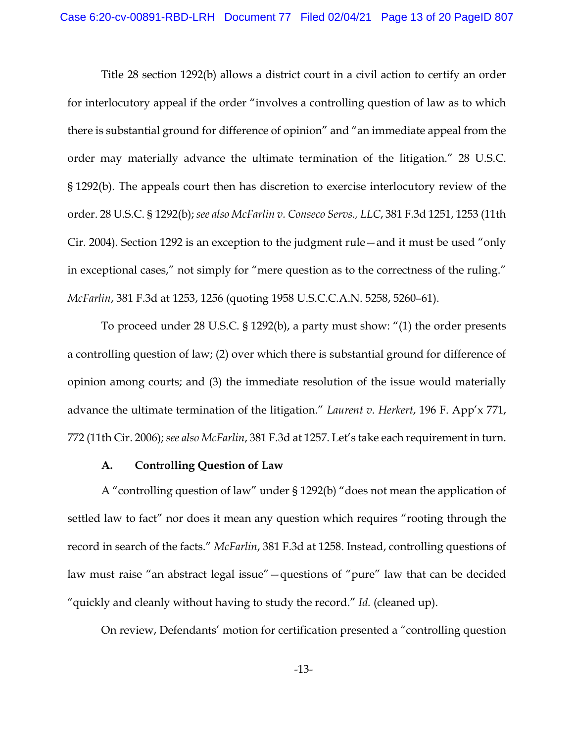Title 28 section 1292(b) allows a district court in a civil action to certify an order for interlocutory appeal if the order "involves a controlling question of law as to which there is substantial ground for difference of opinion" and "an immediate appeal from the order may materially advance the ultimate termination of the litigation." 28 U.S.C. § 1292(b). The appeals court then has discretion to exercise interlocutory review of the order. 28 U.S.C. § 1292(b); *see also McFarlin v. Conseco Servs., LLC*, 381 F.3d 1251, 1253 (11th Cir. 2004). Section 1292 is an exception to the judgment rule—and it must be used "only in exceptional cases," not simply for "mere question as to the correctness of the ruling." *McFarlin*, 381 F.3d at 1253, 1256 (quoting 1958 U.S.C.C.A.N. 5258, 5260–61).

To proceed under 28 U.S.C. § 1292(b), a party must show: "(1) the order presents a controlling question of law; (2) over which there is substantial ground for difference of opinion among courts; and (3) the immediate resolution of the issue would materially advance the ultimate termination of the litigation." *Laurent v. Herkert*, 196 F. App'x 771, 772 (11th Cir. 2006); *see also McFarlin*, 381 F.3d at 1257. Let's take each requirement in turn.

### **A. Controlling Question of Law**

A "controlling question of law" under § 1292(b) "does not mean the application of settled law to fact" nor does it mean any question which requires "rooting through the record in search of the facts." *McFarlin*, 381 F.3d at 1258. Instead, controlling questions of law must raise "an abstract legal issue"—questions of "pure" law that can be decided "quickly and cleanly without having to study the record." *Id.* (cleaned up).

On review, Defendants' motion for certification presented a "controlling question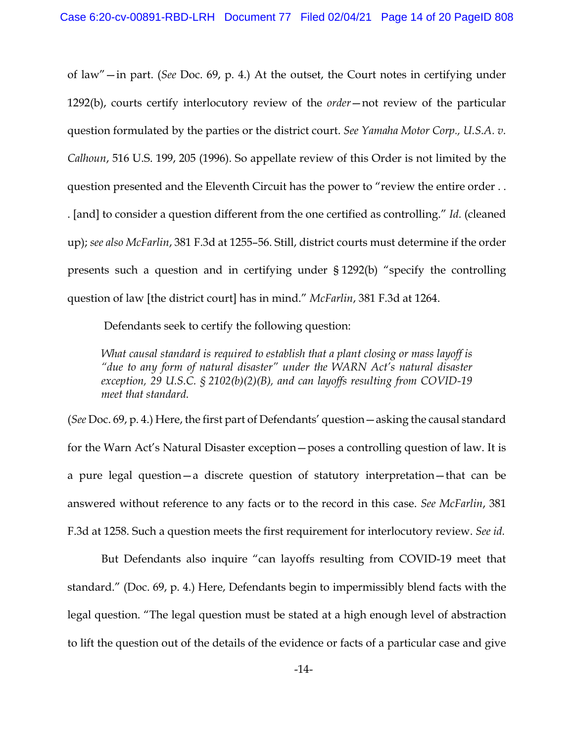of law"—in part. (*See* Doc. 69, p. 4.) At the outset, the Court notes in certifying under 1292(b), courts certify interlocutory review of the *order*—not review of the particular question formulated by the parties or the district court. *See Yamaha Motor Corp., U.S.A. v. Calhoun*, 516 U.S. 199, 205 (1996). So appellate review of this Order is not limited by the question presented and the Eleventh Circuit has the power to "review the entire order . . . [and] to consider a question different from the one certified as controlling." *Id.* (cleaned up); *see also McFarlin*, 381 F.3d at 1255–56. Still, district courts must determine if the order presents such a question and in certifying under § 1292(b) "specify the controlling question of law [the district court] has in mind." *McFarlin*, 381 F.3d at 1264.

Defendants seek to certify the following question:

*What causal standard is required to establish that a plant closing or mass layoff is "due to any form of natural disaster" under the WARN Act's natural disaster exception, 29 U.S.C. § 2102(b)(2)(B), and can layoffs resulting from COVID-19 meet that standard.*

(*See* Doc. 69, p. 4.) Here, the first part of Defendants' question—asking the causal standard for the Warn Act's Natural Disaster exception—poses a controlling question of law. It is a pure legal question—a discrete question of statutory interpretation—that can be answered without reference to any facts or to the record in this case. *See McFarlin*, 381 F.3d at 1258. Such a question meets the first requirement for interlocutory review. *See id.*

But Defendants also inquire "can layoffs resulting from COVID-19 meet that standard." (Doc. 69, p. 4.) Here, Defendants begin to impermissibly blend facts with the legal question. "The legal question must be stated at a high enough level of abstraction to lift the question out of the details of the evidence or facts of a particular case and give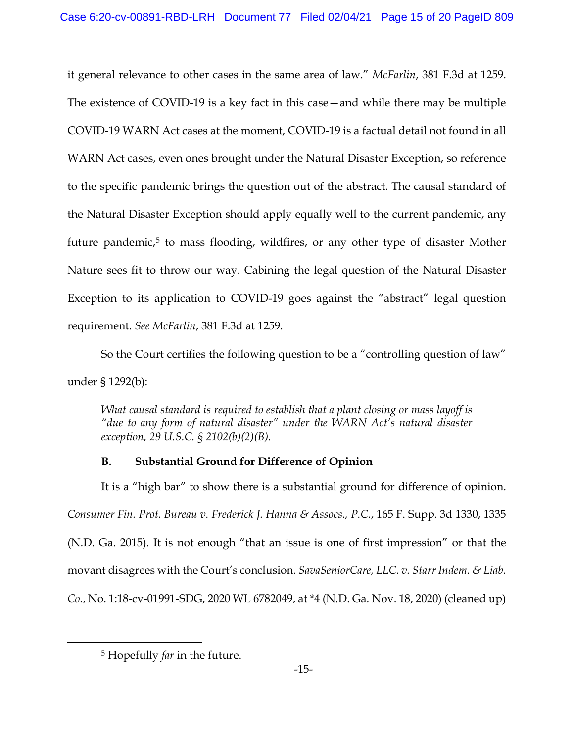it general relevance to other cases in the same area of law." *McFarlin*, 381 F.3d at 1259. The existence of COVID-19 is a key fact in this case—and while there may be multiple COVID-19 WARN Act cases at the moment, COVID-19 is a factual detail not found in all WARN Act cases, even ones brought under the Natural Disaster Exception, so reference to the specific pandemic brings the question out of the abstract. The causal standard of the Natural Disaster Exception should apply equally well to the current pandemic, any future pandemic, $5$  to mass flooding, wildfires, or any other type of disaster Mother Nature sees fit to throw our way. Cabining the legal question of the Natural Disaster Exception to its application to COVID-19 goes against the "abstract" legal question requirement. *See McFarlin*, 381 F.3d at 1259.

So the Court certifies the following question to be a "controlling question of law" under § 1292(b):

*What causal standard is required to establish that a plant closing or mass layoff is "due to any form of natural disaster" under the WARN Act's natural disaster exception, 29 U.S.C. § 2102(b)(2)(B).*

# **B. Substantial Ground for Difference of Opinion**

It is a "high bar" to show there is a substantial ground for difference of opinion. *Consumer Fin. Prot. Bureau v. Frederick J. Hanna & Assocs., P.C.*, 165 F. Supp. 3d 1330, 1335 (N.D. Ga. 2015). It is not enough "that an issue is one of first impression" or that the movant disagrees with the Court's conclusion. *SavaSeniorCare, LLC. v. Starr Indem. & Liab. Co.*, No. 1:18-cv-01991-SDG, 2020 WL 6782049, at \*4 (N.D. Ga. Nov. 18, 2020) (cleaned up)

<sup>5</sup> Hopefully *far* in the future.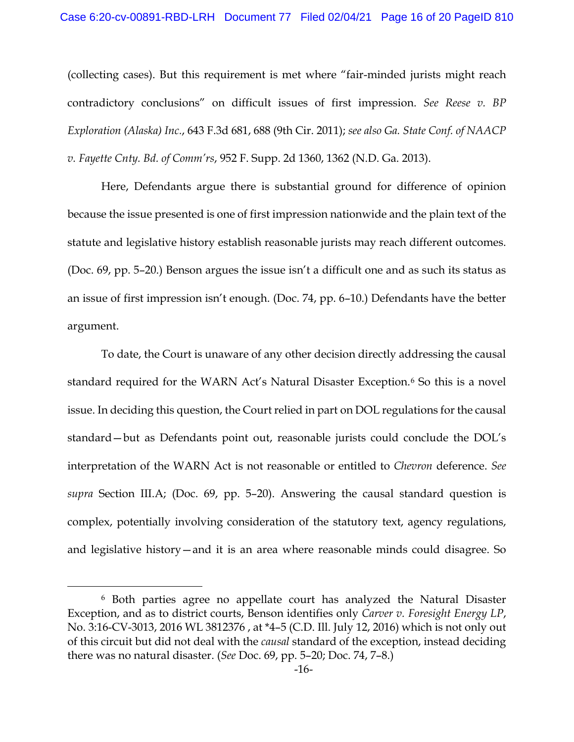(collecting cases). But this requirement is met where "fair-minded jurists might reach contradictory conclusions" on difficult issues of first impression. *See Reese v. BP Exploration (Alaska) Inc.*, 643 F.3d 681, 688 (9th Cir. 2011); *see also Ga. State Conf. of NAACP v. Fayette Cnty. Bd. of Comm'rs*, 952 F. Supp. 2d 1360, 1362 (N.D. Ga. 2013).

Here, Defendants argue there is substantial ground for difference of opinion because the issue presented is one of first impression nationwide and the plain text of the statute and legislative history establish reasonable jurists may reach different outcomes. (Doc. 69, pp. 5–20.) Benson argues the issue isn't a difficult one and as such its status as an issue of first impression isn't enough. (Doc. 74, pp. 6–10.) Defendants have the better argument.

To date, the Court is unaware of any other decision directly addressing the causal standard required for the WARN Act's Natural Disaster Exception.<sup>6</sup> So this is a novel issue. In deciding this question, the Court relied in part on DOL regulations for the causal standard—but as Defendants point out, reasonable jurists could conclude the DOL's interpretation of the WARN Act is not reasonable or entitled to *Chevron* deference. *See supra* Section III.A; (Doc. 69, pp. 5–20). Answering the causal standard question is complex, potentially involving consideration of the statutory text, agency regulations, and legislative history—and it is an area where reasonable minds could disagree. So

<sup>6</sup> Both parties agree no appellate court has analyzed the Natural Disaster Exception, and as to district courts, Benson identifies only *Carver v. Foresight Energy LP*, No. 3:16-CV-3013, 2016 WL 3812376 , at \*4–5 (C.D. Ill. July 12, 2016) which is not only out of this circuit but did not deal with the *causal* standard of the exception, instead deciding there was no natural disaster. (*See* Doc. 69, pp. 5–20; Doc. 74, 7–8.)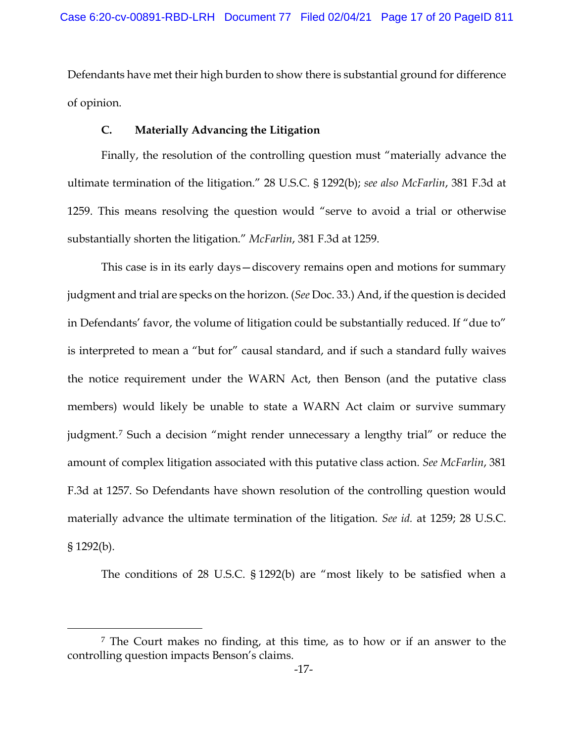Defendants have met their high burden to show there is substantial ground for difference of opinion.

# **C. Materially Advancing the Litigation**

Finally, the resolution of the controlling question must "materially advance the ultimate termination of the litigation." 28 U.S.C. § 1292(b); *see also McFarlin*, 381 F.3d at 1259. This means resolving the question would "serve to avoid a trial or otherwise substantially shorten the litigation." *McFarlin*, 381 F.3d at 1259.

This case is in its early days—discovery remains open and motions for summary judgment and trial are specks on the horizon. (*See* Doc. 33.) And, if the question is decided in Defendants' favor, the volume of litigation could be substantially reduced. If "due to" is interpreted to mean a "but for" causal standard, and if such a standard fully waives the notice requirement under the WARN Act, then Benson (and the putative class members) would likely be unable to state a WARN Act claim or survive summary judgment.7 Such a decision "might render unnecessary a lengthy trial" or reduce the amount of complex litigation associated with this putative class action. *See McFarlin*, 381 F.3d at 1257. So Defendants have shown resolution of the controlling question would materially advance the ultimate termination of the litigation. *See id.* at 1259; 28 U.S.C. § 1292(b).

The conditions of 28 U.S.C. § 1292(b) are "most likely to be satisfied when a

<sup>7</sup> The Court makes no finding, at this time, as to how or if an answer to the controlling question impacts Benson's claims.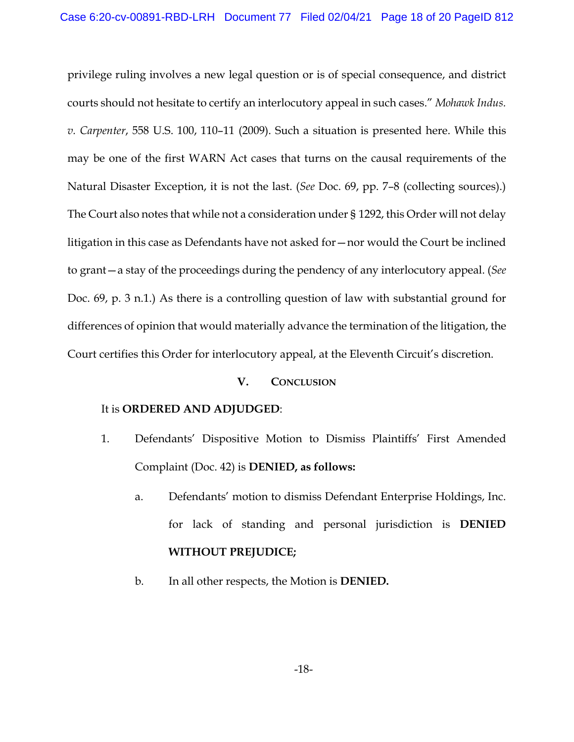privilege ruling involves a new legal question or is of special consequence, and district courts should not hesitate to certify an interlocutory appeal in such cases." *Mohawk Indus. v. Carpenter*, 558 U.S. 100, 110–11 (2009). Such a situation is presented here. While this may be one of the first WARN Act cases that turns on the causal requirements of the Natural Disaster Exception, it is not the last. (*See* Doc. 69, pp. 7–8 (collecting sources).) The Court also notes that while not a consideration under § 1292, this Order will not delay litigation in this case as Defendants have not asked for—nor would the Court be inclined to grant—a stay of the proceedings during the pendency of any interlocutory appeal. (*See*  Doc. 69, p. 3 n.1.) As there is a controlling question of law with substantial ground for differences of opinion that would materially advance the termination of the litigation, the Court certifies this Order for interlocutory appeal, at the Eleventh Circuit's discretion.

# **V. CONCLUSION**

### It is **ORDERED AND ADJUDGED**:

- 1. Defendants' Dispositive Motion to Dismiss Plaintiffs' First Amended Complaint (Doc. 42) is **DENIED, as follows:**
	- a. Defendants' motion to dismiss Defendant Enterprise Holdings, Inc. for lack of standing and personal jurisdiction is **DENIED WITHOUT PREJUDICE;**
	- b. In all other respects, the Motion is **DENIED.**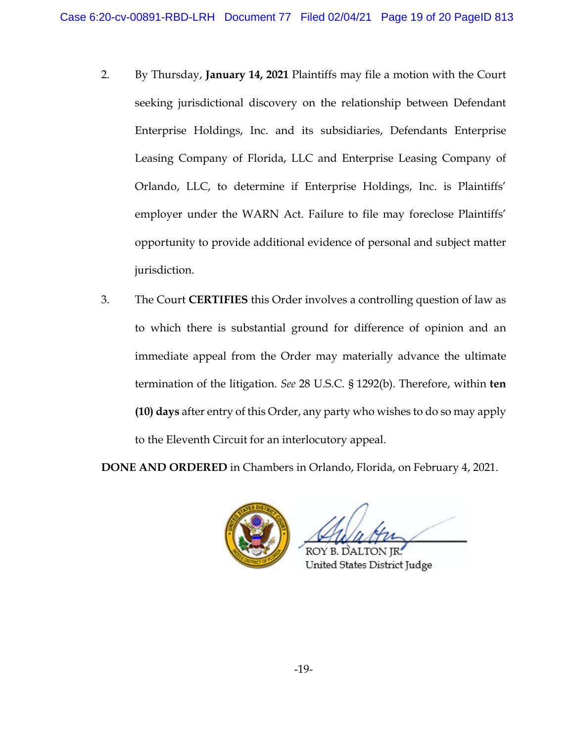- 2. By Thursday, **January 14, 2021** Plaintiffs may file a motion with the Court seeking jurisdictional discovery on the relationship between Defendant Enterprise Holdings, Inc. and its subsidiaries, Defendants Enterprise Leasing Company of Florida, LLC and Enterprise Leasing Company of Orlando, LLC, to determine if Enterprise Holdings, Inc. is Plaintiffs' employer under the WARN Act. Failure to file may foreclose Plaintiffs' opportunity to provide additional evidence of personal and subject matter jurisdiction.
- 3. The Court **CERTIFIES** this Order involves a controlling question of law as to which there is substantial ground for difference of opinion and an immediate appeal from the Order may materially advance the ultimate termination of the litigation. *See* 28 U.S.C. § 1292(b). Therefore, within **ten (10) days** after entry of this Order, any party who wishes to do so may apply to the Eleventh Circuit for an interlocutory appeal.

**DONE AND ORDERED** in Chambers in Orlando, Florida, on February 4, 2021.



**ROY B. DALTON IR:** United States District Judge